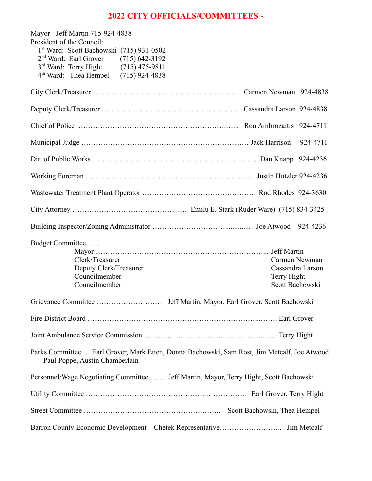# **2022 CITY OFFICIALS/COMMITTEES** -

| Mayor - Jeff Martin 715-924-4838<br>President of the Council:                                                                  |                  |
|--------------------------------------------------------------------------------------------------------------------------------|------------------|
| 1st Ward: Scott Bachowski (715) 931-0502                                                                                       |                  |
| $2nd Ward: Earl Grover$ (715) 642-3192                                                                                         |                  |
| 3rd Ward: Terry Hight (715) 475-9811                                                                                           |                  |
| 4 <sup>th</sup> Ward: Thea Hempel (715) 924-4838                                                                               |                  |
|                                                                                                                                |                  |
|                                                                                                                                |                  |
|                                                                                                                                |                  |
|                                                                                                                                | 924-4711         |
|                                                                                                                                |                  |
|                                                                                                                                |                  |
|                                                                                                                                |                  |
|                                                                                                                                |                  |
|                                                                                                                                |                  |
| Budget Committee                                                                                                               |                  |
| Clerk/Treasurer                                                                                                                | Carmen Newman    |
| Deputy Clerk/Treasurer                                                                                                         | Cassandra Larson |
| Councilmember                                                                                                                  | Terry Hight      |
| Councilmember                                                                                                                  | Scott Bachowski  |
|                                                                                                                                |                  |
|                                                                                                                                |                  |
|                                                                                                                                |                  |
| Parks Committee  Earl Grover, Mark Etten, Donna Bachowski, Sam Rost, Jim Metcalf, Joe Atwood<br>Paul Poppe, Austin Chamberlain |                  |
| Personnel/Wage Negotiating Committee Jeff Martin, Mayor, Terry Hight, Scott Bachowski                                          |                  |
|                                                                                                                                |                  |
|                                                                                                                                |                  |
|                                                                                                                                | Jim Metcalf      |